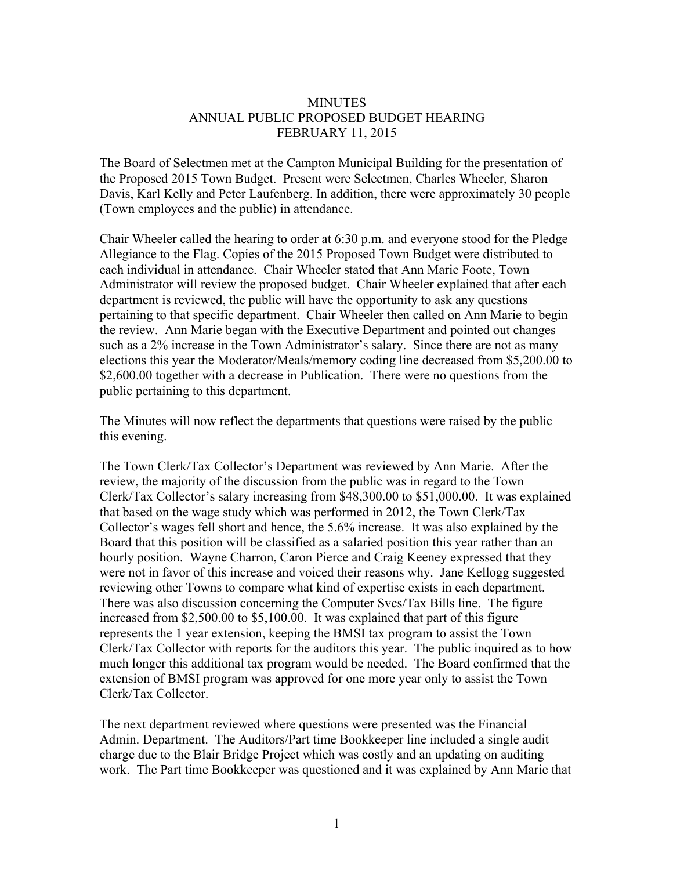## MINUTES ANNUAL PUBLIC PROPOSED BUDGET HEARING FEBRUARY 11, 2015

The Board of Selectmen met at the Campton Municipal Building for the presentation of the Proposed 2015 Town Budget. Present were Selectmen, Charles Wheeler, Sharon Davis, Karl Kelly and Peter Laufenberg. In addition, there were approximately 30 people (Town employees and the public) in attendance.

Chair Wheeler called the hearing to order at 6:30 p.m. and everyone stood for the Pledge Allegiance to the Flag. Copies of the 2015 Proposed Town Budget were distributed to each individual in attendance. Chair Wheeler stated that Ann Marie Foote, Town Administrator will review the proposed budget. Chair Wheeler explained that after each department is reviewed, the public will have the opportunity to ask any questions pertaining to that specific department. Chair Wheeler then called on Ann Marie to begin the review. Ann Marie began with the Executive Department and pointed out changes such as a 2% increase in the Town Administrator's salary. Since there are not as many elections this year the Moderator/Meals/memory coding line decreased from \$5,200.00 to \$2,600.00 together with a decrease in Publication. There were no questions from the public pertaining to this department.

The Minutes will now reflect the departments that questions were raised by the public this evening.

The Town Clerk/Tax Collector's Department was reviewed by Ann Marie. After the review, the majority of the discussion from the public was in regard to the Town Clerk/Tax Collector's salary increasing from \$48,300.00 to \$51,000.00. It was explained that based on the wage study which was performed in 2012, the Town Clerk/Tax Collector's wages fell short and hence, the 5.6% increase. It was also explained by the Board that this position will be classified as a salaried position this year rather than an hourly position. Wayne Charron, Caron Pierce and Craig Keeney expressed that they were not in favor of this increase and voiced their reasons why. Jane Kellogg suggested reviewing other Towns to compare what kind of expertise exists in each department. There was also discussion concerning the Computer Svcs/Tax Bills line. The figure increased from \$2,500.00 to \$5,100.00. It was explained that part of this figure represents the 1 year extension, keeping the BMSI tax program to assist the Town Clerk/Tax Collector with reports for the auditors this year. The public inquired as to how much longer this additional tax program would be needed. The Board confirmed that the extension of BMSI program was approved for one more year only to assist the Town Clerk/Tax Collector.

The next department reviewed where questions were presented was the Financial Admin. Department. The Auditors/Part time Bookkeeper line included a single audit charge due to the Blair Bridge Project which was costly and an updating on auditing work. The Part time Bookkeeper was questioned and it was explained by Ann Marie that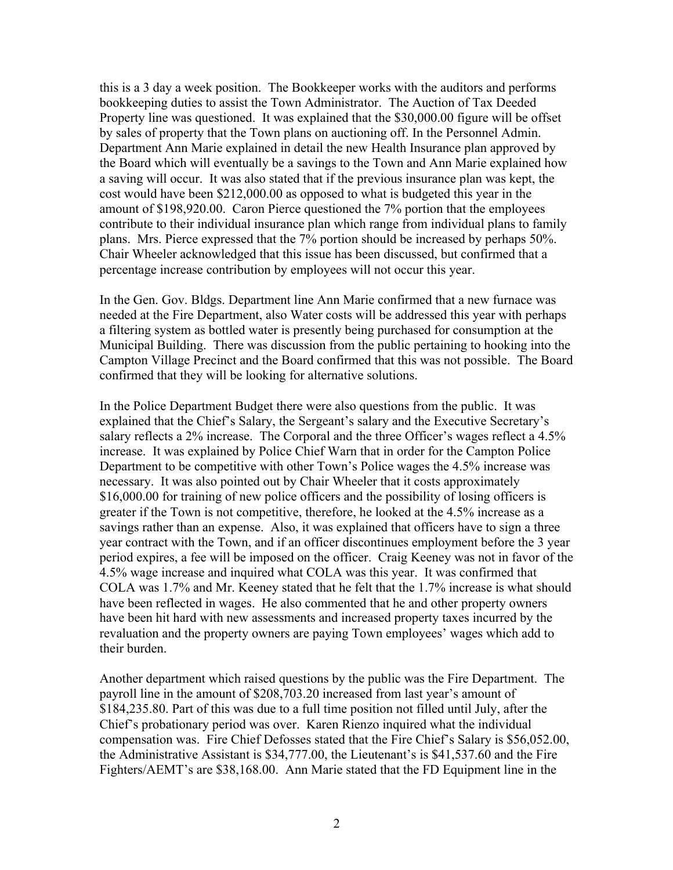this is a 3 day a week position. The Bookkeeper works with the auditors and performs bookkeeping duties to assist the Town Administrator. The Auction of Tax Deeded Property line was questioned. It was explained that the \$30,000.00 figure will be offset by sales of property that the Town plans on auctioning off. In the Personnel Admin. Department Ann Marie explained in detail the new Health Insurance plan approved by the Board which will eventually be a savings to the Town and Ann Marie explained how a saving will occur. It was also stated that if the previous insurance plan was kept, the cost would have been \$212,000.00 as opposed to what is budgeted this year in the amount of \$198,920.00. Caron Pierce questioned the 7% portion that the employees contribute to their individual insurance plan which range from individual plans to family plans. Mrs. Pierce expressed that the 7% portion should be increased by perhaps 50%. Chair Wheeler acknowledged that this issue has been discussed, but confirmed that a percentage increase contribution by employees will not occur this year.

In the Gen. Gov. Bldgs. Department line Ann Marie confirmed that a new furnace was needed at the Fire Department, also Water costs will be addressed this year with perhaps a filtering system as bottled water is presently being purchased for consumption at the Municipal Building. There was discussion from the public pertaining to hooking into the Campton Village Precinct and the Board confirmed that this was not possible. The Board confirmed that they will be looking for alternative solutions.

In the Police Department Budget there were also questions from the public. It was explained that the Chief's Salary, the Sergeant's salary and the Executive Secretary's salary reflects a 2% increase. The Corporal and the three Officer's wages reflect a 4.5% increase. It was explained by Police Chief Warn that in order for the Campton Police Department to be competitive with other Town's Police wages the 4.5% increase was necessary. It was also pointed out by Chair Wheeler that it costs approximately \$16,000.00 for training of new police officers and the possibility of losing officers is greater if the Town is not competitive, therefore, he looked at the 4.5% increase as a savings rather than an expense. Also, it was explained that officers have to sign a three year contract with the Town, and if an officer discontinues employment before the 3 year period expires, a fee will be imposed on the officer. Craig Keeney was not in favor of the 4.5% wage increase and inquired what COLA was this year. It was confirmed that COLA was 1.7% and Mr. Keeney stated that he felt that the 1.7% increase is what should have been reflected in wages. He also commented that he and other property owners have been hit hard with new assessments and increased property taxes incurred by the revaluation and the property owners are paying Town employees' wages which add to their burden.

Another department which raised questions by the public was the Fire Department. The payroll line in the amount of \$208,703.20 increased from last year's amount of \$184,235.80. Part of this was due to a full time position not filled until July, after the Chief's probationary period was over. Karen Rienzo inquired what the individual compensation was. Fire Chief Defosses stated that the Fire Chief's Salary is \$56,052.00, the Administrative Assistant is \$34,777.00, the Lieutenant's is \$41,537.60 and the Fire Fighters/AEMT's are \$38,168.00. Ann Marie stated that the FD Equipment line in the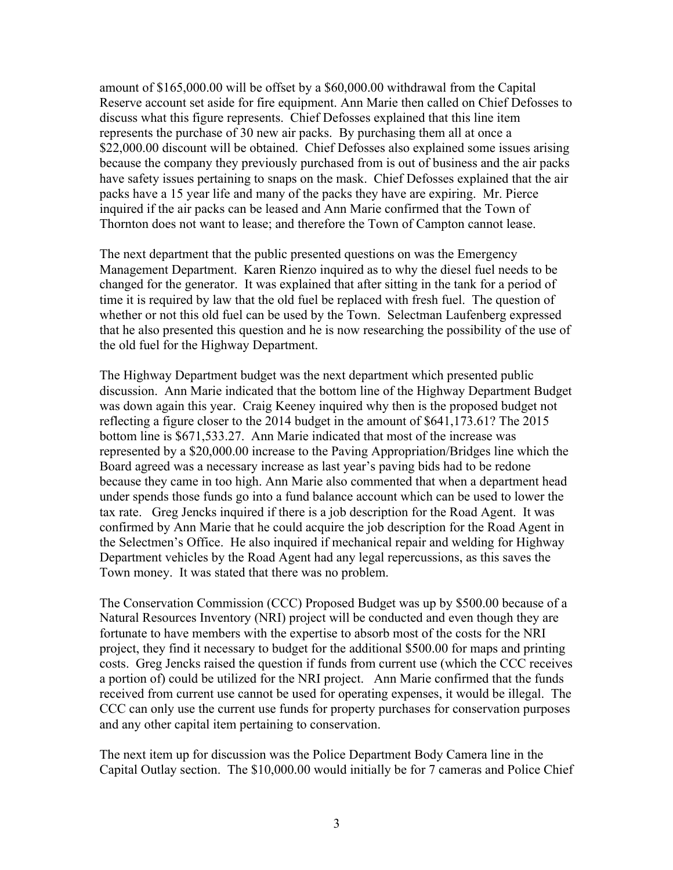amount of \$165,000.00 will be offset by a \$60,000.00 withdrawal from the Capital Reserve account set aside for fire equipment. Ann Marie then called on Chief Defosses to discuss what this figure represents. Chief Defosses explained that this line item represents the purchase of 30 new air packs. By purchasing them all at once a \$22,000.00 discount will be obtained. Chief Defosses also explained some issues arising because the company they previously purchased from is out of business and the air packs have safety issues pertaining to snaps on the mask. Chief Defosses explained that the air packs have a 15 year life and many of the packs they have are expiring. Mr. Pierce inquired if the air packs can be leased and Ann Marie confirmed that the Town of Thornton does not want to lease; and therefore the Town of Campton cannot lease.

The next department that the public presented questions on was the Emergency Management Department. Karen Rienzo inquired as to why the diesel fuel needs to be changed for the generator. It was explained that after sitting in the tank for a period of time it is required by law that the old fuel be replaced with fresh fuel. The question of whether or not this old fuel can be used by the Town. Selectman Laufenberg expressed that he also presented this question and he is now researching the possibility of the use of the old fuel for the Highway Department.

The Highway Department budget was the next department which presented public discussion. Ann Marie indicated that the bottom line of the Highway Department Budget was down again this year. Craig Keeney inquired why then is the proposed budget not reflecting a figure closer to the 2014 budget in the amount of \$641,173.61? The 2015 bottom line is \$671,533.27. Ann Marie indicated that most of the increase was represented by a \$20,000.00 increase to the Paving Appropriation/Bridges line which the Board agreed was a necessary increase as last year's paving bids had to be redone because they came in too high. Ann Marie also commented that when a department head under spends those funds go into a fund balance account which can be used to lower the tax rate. Greg Jencks inquired if there is a job description for the Road Agent. It was confirmed by Ann Marie that he could acquire the job description for the Road Agent in the Selectmen's Office. He also inquired if mechanical repair and welding for Highway Department vehicles by the Road Agent had any legal repercussions, as this saves the Town money. It was stated that there was no problem.

The Conservation Commission (CCC) Proposed Budget was up by \$500.00 because of a Natural Resources Inventory (NRI) project will be conducted and even though they are fortunate to have members with the expertise to absorb most of the costs for the NRI project, they find it necessary to budget for the additional \$500.00 for maps and printing costs. Greg Jencks raised the question if funds from current use (which the CCC receives a portion of) could be utilized for the NRI project. Ann Marie confirmed that the funds received from current use cannot be used for operating expenses, it would be illegal. The CCC can only use the current use funds for property purchases for conservation purposes and any other capital item pertaining to conservation.

The next item up for discussion was the Police Department Body Camera line in the Capital Outlay section. The \$10,000.00 would initially be for 7 cameras and Police Chief